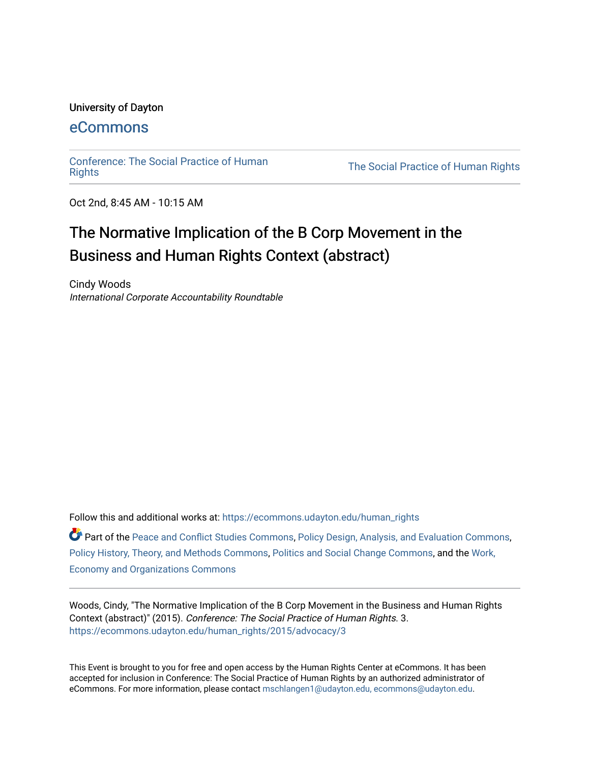## University of Dayton

## [eCommons](https://ecommons.udayton.edu/)

[Conference: The Social Practice of Human](https://ecommons.udayton.edu/human_rights)

The Social Practice of Human Rights

Oct 2nd, 8:45 AM - 10:15 AM

## The Normative Implication of the B Corp Movement in the Business and Human Rights Context (abstract)

Cindy Woods International Corporate Accountability Roundtable

Follow this and additional works at: [https://ecommons.udayton.edu/human\\_rights](https://ecommons.udayton.edu/human_rights?utm_source=ecommons.udayton.edu%2Fhuman_rights%2F2015%2Fadvocacy%2F3&utm_medium=PDF&utm_campaign=PDFCoverPages)

Part of the [Peace and Conflict Studies Commons,](http://network.bepress.com/hgg/discipline/397?utm_source=ecommons.udayton.edu%2Fhuman_rights%2F2015%2Fadvocacy%2F3&utm_medium=PDF&utm_campaign=PDFCoverPages) [Policy Design, Analysis, and Evaluation Commons](http://network.bepress.com/hgg/discipline/1032?utm_source=ecommons.udayton.edu%2Fhuman_rights%2F2015%2Fadvocacy%2F3&utm_medium=PDF&utm_campaign=PDFCoverPages), [Policy History, Theory, and Methods Commons,](http://network.bepress.com/hgg/discipline/1036?utm_source=ecommons.udayton.edu%2Fhuman_rights%2F2015%2Fadvocacy%2F3&utm_medium=PDF&utm_campaign=PDFCoverPages) [Politics and Social Change Commons](http://network.bepress.com/hgg/discipline/425?utm_source=ecommons.udayton.edu%2Fhuman_rights%2F2015%2Fadvocacy%2F3&utm_medium=PDF&utm_campaign=PDFCoverPages), and the [Work,](http://network.bepress.com/hgg/discipline/433?utm_source=ecommons.udayton.edu%2Fhuman_rights%2F2015%2Fadvocacy%2F3&utm_medium=PDF&utm_campaign=PDFCoverPages) [Economy and Organizations Commons](http://network.bepress.com/hgg/discipline/433?utm_source=ecommons.udayton.edu%2Fhuman_rights%2F2015%2Fadvocacy%2F3&utm_medium=PDF&utm_campaign=PDFCoverPages) 

Woods, Cindy, "The Normative Implication of the B Corp Movement in the Business and Human Rights Context (abstract)" (2015). Conference: The Social Practice of Human Rights. 3. [https://ecommons.udayton.edu/human\\_rights/2015/advocacy/3](https://ecommons.udayton.edu/human_rights/2015/advocacy/3?utm_source=ecommons.udayton.edu%2Fhuman_rights%2F2015%2Fadvocacy%2F3&utm_medium=PDF&utm_campaign=PDFCoverPages)

This Event is brought to you for free and open access by the Human Rights Center at eCommons. It has been accepted for inclusion in Conference: The Social Practice of Human Rights by an authorized administrator of eCommons. For more information, please contact [mschlangen1@udayton.edu, ecommons@udayton.edu.](mailto:mschlangen1@udayton.edu,%20ecommons@udayton.edu)